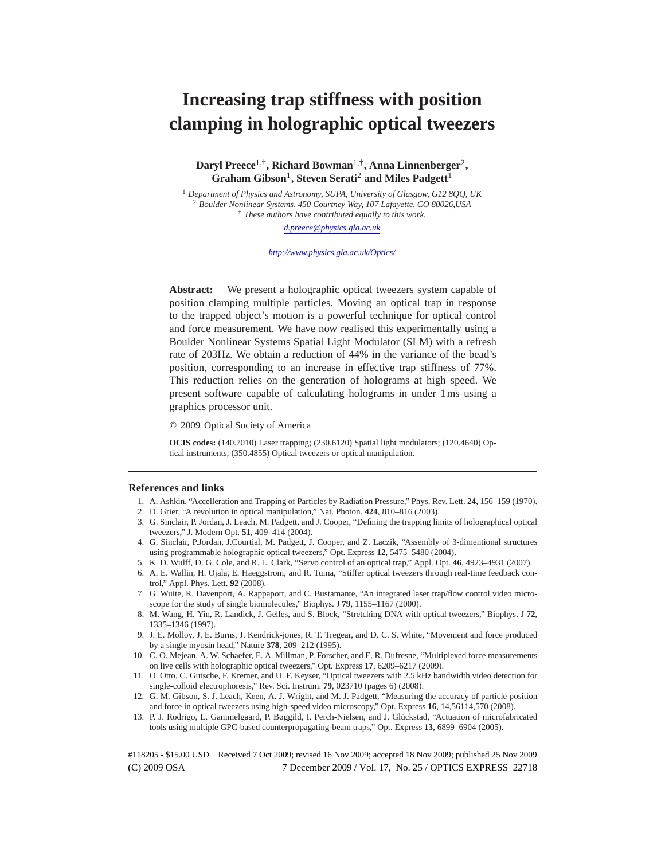# **Increasing trap stiffness with position clamping in holographic optical tweezers**

**Daryl Preece**1,† **, Richard Bowman**1,† **, Anna Linnenberger**<sup>2</sup> **,**  $\mathbf{G}$ raham  $\mathbf{Gibson}^{1}$ , Steven  $\mathbf{Serati}^{2}$  and Miles  $\mathbf{Padgett}^{1}$ 

<sup>1</sup> *Department of Physics and Astronomy, SUPA, University of Glasgow, G12 8QQ, UK* <sup>2</sup> *Boulder Nonlinear Systems, 450 Courtney Way, 107 Lafayette, CO 80026,USA* † *These authors have contributed equally to this work.*

*d.preece@physics.gla.ac.uk*

*http://www.physics.gla.ac.uk/Optics/*

**Abstract:** We present a holographic optical tweezers system capable of position clamping multiple particles. Moving an optical trap in response to the trapped object's motion is a powerful technique for optical control and force measurement. We have now realised this experimentally using a Boulder Nonlinear Systems Spatial Light Modulator (SLM) with a refresh rate of 203Hz. We obtain a reduction of 44% in the variance of the bead's position, corresponding to an increase in effective trap stiffness of 77%. This reduction relies on the generation of holograms at high speed. We present software capable of calculating holograms in under 1ms using a graphics processor unit.

© 2009 Optical Society of America

**OCIS codes:** (140.7010) Laser trapping; (230.6120) Spatial light modulators; (120.4640) Optical instruments; (350.4855) Optical tweezers or optical manipulation.

#### **References and links**

- 1. A. Ashkin, "Accelleration and Trapping of Particles by Radiation Pressure," Phys. Rev. Lett. **24**, 156–159 (1970). 2. D. Grier, "A revolution in optical manipulation," Nat. Photon. **424**, 810–816 (2003).
- 3. G. Sinclair, P. Jordan, J. Leach, M. Padgett, and J. Cooper, "Defining the trapping limits of holographical optical tweezers," J. Modern Opt. **51**, 409–414 (2004).
- 4. G. Sinclair, P.Jordan, J.Courtial, M. Padgett, J. Cooper, and Z. Laczik, "Assembly of 3-dimentional structures using programmable holographic optical tweezers," Opt. Express **12**, 5475–5480 (2004).
- 5. K. D. Wulff, D. G. Cole, and R. L. Clark, "Servo control of an optical trap," Appl. Opt. **46**, 4923–4931 (2007).
- 6. A. E. Wallin, H. Ojala, E. Haeggstrom, and R. Tuma, "Stiffer optical tweezers through real-time feedback control," Appl. Phys. Lett. **92** (2008).
- 7. G. Wuite, R. Davenport, A. Rappaport, and C. Bustamante, "An integrated laser trap/flow control video microscope for the study of single biomolecules," Biophys. J **79**, 1155–1167 (2000).
- 8. M. Wang, H. Yin, R. Landick, J. Gelles, and S. Block, "Stretching DNA with optical tweezers," Biophys. J **72**, 1335–1346 (1997).
- 9. J. E. Molloy, J. E. Burns, J. Kendrick-jones, R. T. Tregear, and D. C. S. White, "Movement and force produced by a single myosin head," Nature **378**, 209–212 (1995).
- 10. C. O. Mejean, A. W. Schaefer, E. A. Millman, P. Forscher, and E. R. Dufresne, "Multiplexed force measurements on live cells with holographic optical tweezers," Opt. Express **17**, 6209–6217 (2009).
- 11. O. Otto, C. Gutsche, F. Kremer, and U. F. Keyser, "Optical tweezers with 2.5 kHz bandwidth video detection for single-colloid electrophoresis," Rev. Sci. Instrum. **79**, 023710 (pages 6) (2008).
- 12. G. M. Gibson, S. J. Leach, Keen, A. J. Wright, and M. J. Padgett, "Measuring the accuracy of particle position and force in optical tweezers using high-speed video microscopy," Opt. Express **16**, 14,56114,570 (2008).
- 13. P. J. Rodrigo, L. Gammelgaard, P. Bøggild, I. Perch-Nielsen, and J. Glückstad, "Actuation of microfabricated tools using multiple GPC-based counterpropagating-beam traps," Opt. Express **13**, 6899–6904 (2005).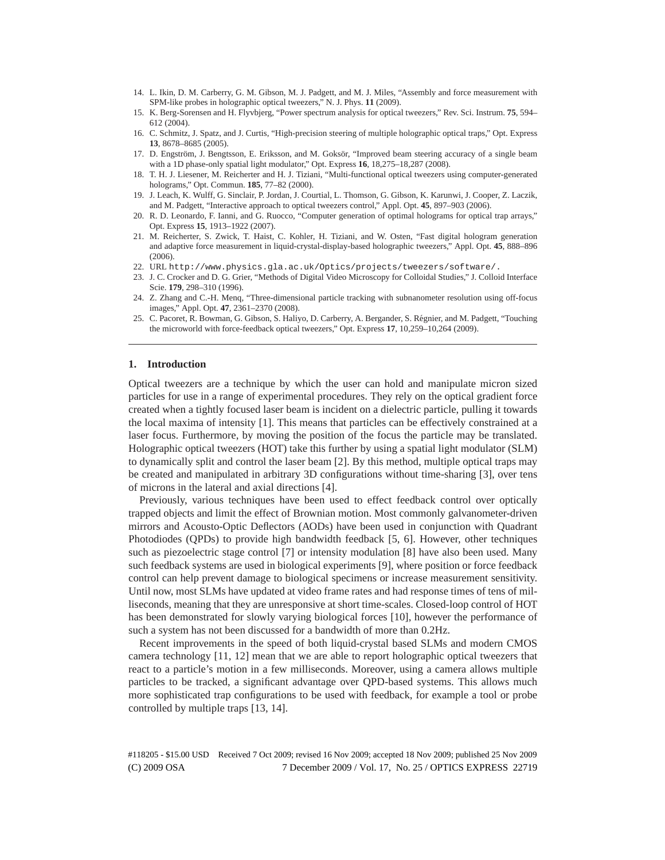- 14. L. Ikin, D. M. Carberry, G. M. Gibson, M. J. Padgett, and M. J. Miles, "Assembly and force measurement with SPM-like probes in holographic optical tweezers," N. J. Phys. **11** (2009).
- 15. K. Berg-Sorensen and H. Flyvbjerg, "Power spectrum analysis for optical tweezers," Rev. Sci. Instrum. **75**, 594– 612 (2004).
- 16. C. Schmitz, J. Spatz, and J. Curtis, "High-precision steering of multiple holographic optical traps," Opt. Express **13**, 8678–8685 (2005).
- 17. D. Engström, J. Bengtsson, E. Eriksson, and M. Goksör, "Improved beam steering accuracy of a single beam with a 1D phase-only spatial light modulator," Opt. Express **16**, 18,275–18,287 (2008).
- 18. T. H. J. Liesener, M. Reicherter and H. J. Tiziani, "Multi-functional optical tweezers using computer-generated holograms," Opt. Commun. **185**, 77–82 (2000).
- 19. J. Leach, K. Wulff, G. Sinclair, P. Jordan, J. Courtial, L. Thomson, G. Gibson, K. Karunwi, J. Cooper, Z. Laczik, and M. Padgett, "Interactive approach to optical tweezers control," Appl. Opt. **45**, 897–903 (2006).
- 20. R. D. Leonardo, F. Ianni, and G. Ruocco, "Computer generation of optimal holograms for optical trap arrays," Opt. Express **15**, 1913–1922 (2007).
- 21. M. Reicherter, S. Zwick, T. Haist, C. Kohler, H. Tiziani, and W. Osten, "Fast digital hologram generation and adaptive force measurement in liquid-crystal-display-based holographic tweezers," Appl. Opt. **45**, 888–896 (2006).
- 22. URL http://www.physics.gla.ac.uk/Optics/projects/tweezers/software/.
- 23. J. C. Crocker and D. G. Grier, "Methods of Digital Video Microscopy for Colloidal Studies," J. Colloid Interface Scie. **179**, 298–310 (1996).
- 24. Z. Zhang and C.-H. Menq, "Three-dimensional particle tracking with subnanometer resolution using off-focus images," Appl. Opt. **47**, 2361–2370 (2008).
- 25. C. Pacoret, R. Bowman, G. Gibson, S. Haliyo, D. Carberry, A. Bergander, S. Regnier, and M. Padgett, "Touching ´ the microworld with force-feedback optical tweezers," Opt. Express **17**, 10,259–10,264 (2009).

#### **1. Introduction**

Optical tweezers are a technique by which the user can hold and manipulate micron sized particles for use in a range of experimental procedures. They rely on the optical gradient force created when a tightly focused laser beam is incident on a dielectric particle, pulling it towards the local maxima of intensity [1]. This means that particles can be effectively constrained at a laser focus. Furthermore, by moving the position of the focus the particle may be translated. Holographic optical tweezers (HOT) take this further by using a spatial light modulator (SLM) to dynamically split and control the laser beam [2]. By this method, multiple optical traps may be created and manipulated in arbitrary 3D configurations without time-sharing [3], over tens of microns in the lateral and axial directions [4].

Previously, various techniques have been used to effect feedback control over optically trapped objects and limit the effect of Brownian motion. Most commonly galvanometer-driven mirrors and Acousto-Optic Deflectors (AODs) have been used in conjunction with Quadrant Photodiodes (QPDs) to provide high bandwidth feedback [5, 6]. However, other techniques such as piezoelectric stage control [7] or intensity modulation [8] have also been used. Many such feedback systems are used in biological experiments [9], where position or force feedback control can help prevent damage to biological specimens or increase measurement sensitivity. Until now, most SLMs have updated at video frame rates and had response times of tens of milliseconds, meaning that they are unresponsive at short time-scales. Closed-loop control of HOT has been demonstrated for slowly varying biological forces [10], however the performance of such a system has not been discussed for a bandwidth of more than 0.2Hz.

Recent improvements in the speed of both liquid-crystal based SLMs and modern CMOS camera technology [11, 12] mean that we are able to report holographic optical tweezers that react to a particle's motion in a few milliseconds. Moreover, using a camera allows multiple particles to be tracked, a significant advantage over QPD-based systems. This allows much more sophisticated trap configurations to be used with feedback, for example a tool or probe controlled by multiple traps [13, 14].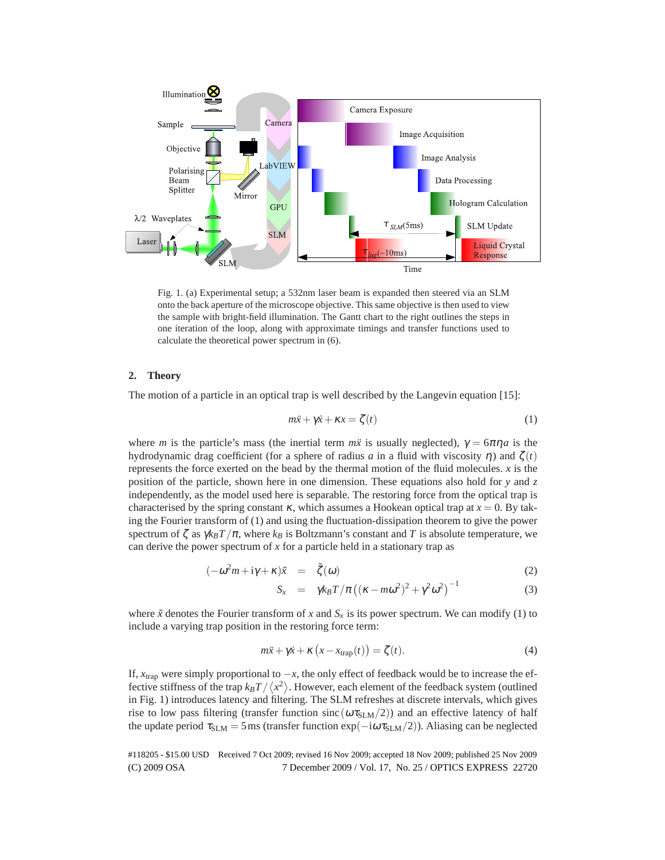

Fig. 1. (a) Experimental setup; a 532nm laser beam is expanded then steered via an SLM onto the back aperture of the microscope objective. This same objective is then used to view the sample with bright-field illumination. The Gantt chart to the right outlines the steps in one iteration of the loop, along with approximate timings and transfer functions used to calculate the theoretical power spectrum in (6).

## **2. Theory**

The motion of a particle in an optical trap is well described by the Langevin equation [15]:

$$
m\ddot{x} + \gamma \dot{x} + \kappa x = \zeta(t) \tag{1}
$$

where *m* is the particle's mass (the inertial term  $m\ddot{x}$  is usually neglected),  $\gamma = 6\pi\eta a$  is the hydrodynamic drag coefficient (for a sphere of radius *a* in a fluid with viscosity <sup>η</sup>) and ζ (*t*) represents the force exerted on the bead by the thermal motion of the fluid molecules. *x* is the position of the particle, shown here in one dimension. These equations also hold for *y* and *z* independently, as the model used here is separable. The restoring force from the optical trap is characterised by the spring constant  $\kappa$ , which assumes a Hookean optical trap at  $x = 0$ . By taking the Fourier transform of (1) and using the fluctuation-dissipation theorem to give the power spectrum of  $\zeta$  as  $\gamma k_B T / \pi$ , where  $k_B$  is Boltzmann's constant and T is absolute temperature, we can derive the power spectrum of *x* for a particle held in a stationary trap as

$$
(-\omega^2 m + i\gamma + \kappa)\tilde{x} = \tilde{\zeta}(\omega) \tag{2}
$$

$$
S_x = \gamma k_B T / \pi \left( (\kappa - m\omega^2)^2 + \gamma^2 \omega^2 \right)^{-1}
$$
 (3)

where  $\tilde{x}$  denotes the Fourier transform of x and  $S_x$  is its power spectrum. We can modify (1) to include a varying trap position in the restoring force term:

$$
m\ddot{x} + \gamma \dot{x} + \kappa \left( x - x_{\text{trap}}(t) \right) = \zeta(t). \tag{4}
$$

If, *x*trap were simply proportional to −*x*, the only effect of feedback would be to increase the effective stiffness of the trap  $k_B T / \langle x^2 \rangle$ . However, each element of the feedback system (outlined in Fig. 1) introduces latency and filtering. The SLM refreshes at discrete intervals, which gives rise to low pass filtering (transfer function sinc  $(\omega \tau_{SLM}/2)$ ) and an effective latency of half the update period  $\tau_{SLM} = 5$  ms (transfer function exp( $-i\omega \tau_{SLM}/2$ )). Aliasing can be neglected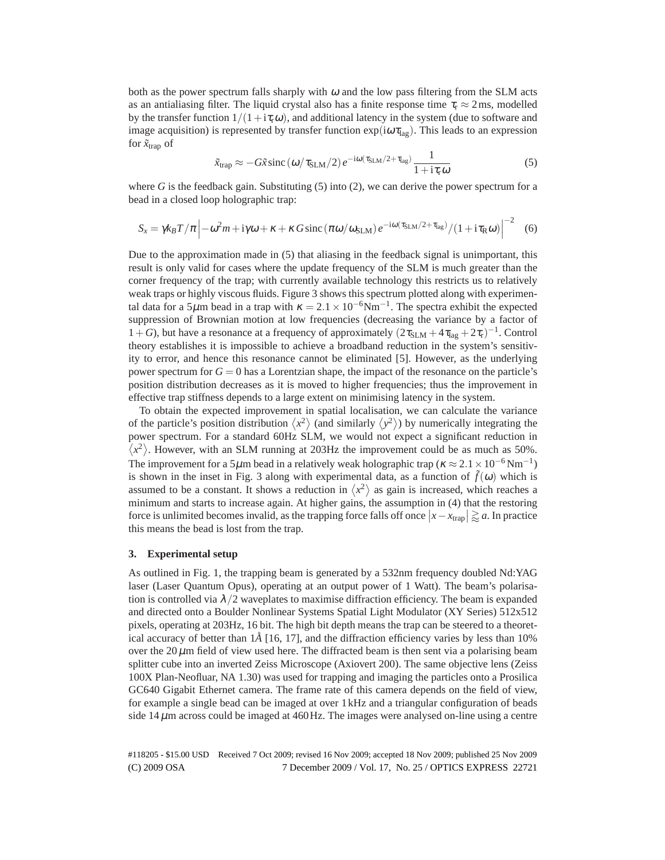both as the power spectrum falls sharply with  $\omega$  and the low pass filtering from the SLM acts as an antialiasing filter. The liquid crystal also has a finite response time  $\tau_r \approx 2 \,\text{ms}$ , modelled by the transfer function  $1/(1+i\tau_{\rm r}\omega)$ , and additional latency in the system (due to software and image acquisition) is represented by transfer function  $\exp(i\omega\tau_{lag})$ . This leads to an expression for  $\tilde{x}_{trap}$  of

$$
\tilde{x}_{\text{trap}} \approx -G\tilde{x}\operatorname{sinc}\left(\omega/\tau_{\text{SLM}}/2\right)e^{-i\omega(\tau_{\text{SLM}}/2+\tau_{\text{lag}})}\frac{1}{1+i\tau_{\text{r}}\omega} \tag{5}
$$

where  $G$  is the feedback gain. Substituting  $(5)$  into  $(2)$ , we can derive the power spectrum for a bead in a closed loop holographic trap:

$$
S_x = \gamma k_B T / \pi \left| -\omega^2 m + i \gamma \omega + \kappa + \kappa G \operatorname{sinc} \left( \pi \omega / \omega_{\text{SLM}} \right) e^{-i \omega (\tau_{\text{SLM}} / 2 + \tau_{\text{lag}})} / (1 + i \tau_{\text{R}} \omega) \right|^{-2} \tag{6}
$$

Due to the approximation made in (5) that aliasing in the feedback signal is unimportant, this result is only valid for cases where the update frequency of the SLM is much greater than the corner frequency of the trap; with currently available technology this restricts us to relatively weak traps or highly viscous fluids. Figure 3 shows this spectrum plotted along with experimental data for a 5µm bead in a trap with  $\kappa = 2.1 \times 10^{-6}$ Nm<sup>-1</sup>. The spectra exhibit the expected suppression of Brownian motion at low frequencies (decreasing the variance by a factor of  $1+G$ ), but have a resonance at a frequency of approximately  $(2\tau_{SLM} + 4\tau_{lag} + 2\tau_r)^{-1}$ . Control theory establishes it is impossible to achieve a broadband reduction in the system's sensitivity to error, and hence this resonance cannot be eliminated [5]. However, as the underlying power spectrum for  $G = 0$  has a Lorentzian shape, the impact of the resonance on the particle's position distribution decreases as it is moved to higher frequencies; thus the improvement in effective trap stiffness depends to a large extent on minimising latency in the system.

To obtain the expected improvement in spatial localisation, we can calculate the variance of the particle's position distribution  $\langle x^2 \rangle$  (and similarly  $\langle y^2 \rangle$ ) by numerically integrating the power spectrum. For a standard 60Hz SLM, we would not expect a significant reduction in  $\langle x^2 \rangle$ . However, with an SLM running at 203Hz the improvement could be as much as 50%. The improvement for a 5 $\mu$ m bead in a relatively weak holographic trap ( $\kappa \approx 2.1 \times 10^{-6}$  Nm<sup>-1</sup>) is shown in the inset in Fig. 3 along with experimental data, as a function of  $\tilde{f}(\omega)$  which is assumed to be a constant. It shows a reduction in  $\langle x^2 \rangle$  as gain is increased, which reaches a minimum and starts to increase again. At higher gains, the assumption in (4) that the restoring force is unlimited becomes invalid, as the trapping force falls off once  $|x - x_{trap}| \gtrapprox a$ . In practice this means the bead is lost from the trap.

### **3. Experimental setup**

As outlined in Fig. 1, the trapping beam is generated by a 532nm frequency doubled Nd:YAG laser (Laser Quantum Opus), operating at an output power of 1 Watt). The beam's polarisation is controlled via  $\lambda/2$  waveplates to maximise diffraction efficiency. The beam is expanded and directed onto a Boulder Nonlinear Systems Spatial Light Modulator (XY Series) 512x512 pixels, operating at 203Hz, 16 bit. The high bit depth means the trap can be steered to a theoretical accuracy of better than 1*A*˚ [16, 17], and the diffraction efficiency varies by less than 10% over the  $20 \mu m$  field of view used here. The diffracted beam is then sent via a polarising beam splitter cube into an inverted Zeiss Microscope (Axiovert 200). The same objective lens (Zeiss 100X Plan-Neofluar, NA 1.30) was used for trapping and imaging the particles onto a Prosilica GC640 Gigabit Ethernet camera. The frame rate of this camera depends on the field of view, for example a single bead can be imaged at over 1kHz and a triangular configuration of beads side  $14 \mu$ m across could be imaged at  $460$  Hz. The images were analysed on-line using a centre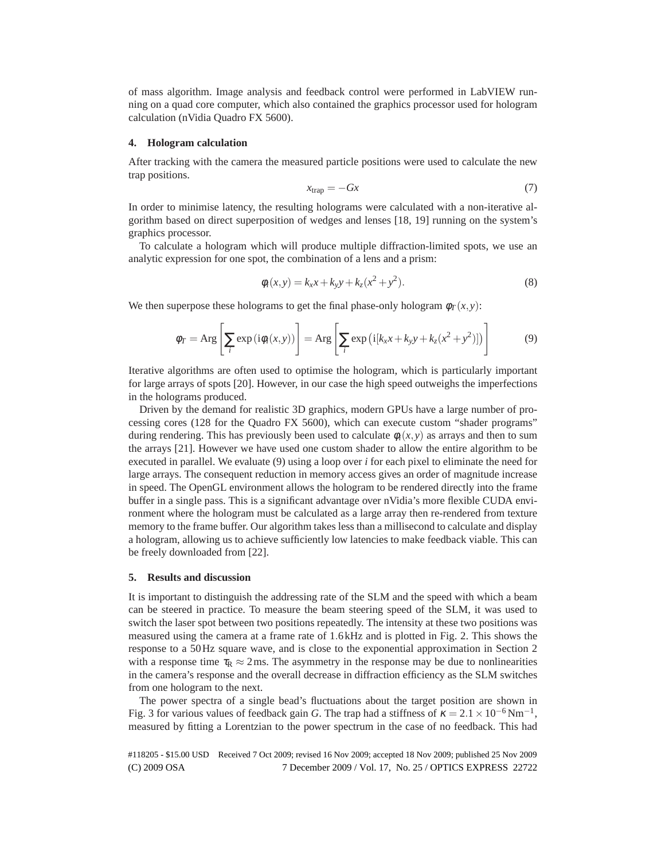of mass algorithm. Image analysis and feedback control were performed in LabVIEW running on a quad core computer, which also contained the graphics processor used for hologram calculation (nVidia Quadro FX 5600).

### **4. Hologram calculation**

After tracking with the camera the measured particle positions were used to calculate the new trap positions.

$$
x_{\rm trap} = -Gx \tag{7}
$$

In order to minimise latency, the resulting holograms were calculated with a non-iterative algorithm based on direct superposition of wedges and lenses [18, 19] running on the system's graphics processor.

To calculate a hologram which will produce multiple diffraction-limited spots, we use an analytic expression for one spot, the combination of a lens and a prism:

$$
\phi_i(x, y) = k_x x + k_y y + k_z (x^2 + y^2).
$$
\n(8)

We then superpose these holograms to get the final phase-only hologram  $\phi_T(x, y)$ :

$$
\phi_T = \text{Arg}\left[\sum_i \exp(i\phi_i(x, y))\right] = \text{Arg}\left[\sum_i \exp(i[k_x x + k_y y + k_z (x^2 + y^2)])\right]
$$
(9)

Iterative algorithms are often used to optimise the hologram, which is particularly important for large arrays of spots [20]. However, in our case the high speed outweighs the imperfections in the holograms produced.

Driven by the demand for realistic 3D graphics, modern GPUs have a large number of processing cores (128 for the Quadro FX 5600), which can execute custom "shader programs" during rendering. This has previously been used to calculate  $\phi_i(x, y)$  as arrays and then to sum the arrays [21]. However we have used one custom shader to allow the entire algorithm to be executed in parallel. We evaluate (9) using a loop over *i* for each pixel to eliminate the need for large arrays. The consequent reduction in memory access gives an order of magnitude increase in speed. The OpenGL environment allows the hologram to be rendered directly into the frame buffer in a single pass. This is a significant advantage over nVidia's more flexible CUDA environment where the hologram must be calculated as a large array then re-rendered from texture memory to the frame buffer. Our algorithm takes less than a millisecond to calculate and display a hologram, allowing us to achieve sufficiently low latencies to make feedback viable. This can be freely downloaded from [22].

#### **5. Results and discussion**

It is important to distinguish the addressing rate of the SLM and the speed with which a beam can be steered in practice. To measure the beam steering speed of the SLM, it was used to switch the laser spot between two positions repeatedly. The intensity at these two positions was measured using the camera at a frame rate of 1.6kHz and is plotted in Fig. 2. This shows the response to a 50Hz square wave, and is close to the exponential approximation in Section 2 with a response time  $\tau_R \approx 2$  ms. The asymmetry in the response may be due to nonlinearities in the camera's response and the overall decrease in diffraction efficiency as the SLM switches from one hologram to the next.

The power spectra of a single bead's fluctuations about the target position are shown in Fig. 3 for various values of feedback gain *G*. The trap had a stiffness of  $\kappa = 2.1 \times 10^{-6} \text{Nm}^{-1}$ , measured by fitting a Lorentzian to the power spectrum in the case of no feedback. This had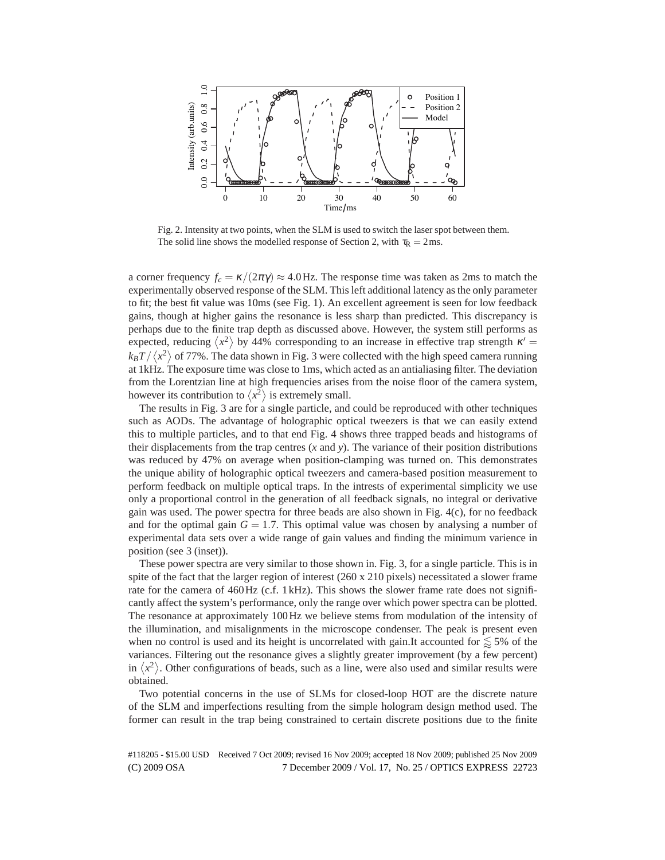

Fig. 2. Intensity at two points, when the SLM is used to switch the laser spot between them. The solid line shows the modelled response of Section 2, with  $\tau_R = 2 \text{ ms}$ .

a corner frequency  $f_c = \kappa/(2\pi\gamma) \approx 4.0$  Hz. The response time was taken as 2ms to match the experimentally observed response of the SLM. This left additional latency as the only parameter to fit; the best fit value was 10ms (see Fig. 1). An excellent agreement is seen for low feedback gains, though at higher gains the resonance is less sharp than predicted. This discrepancy is perhaps due to the finite trap depth as discussed above. However, the system still performs as expected, reducing  $\langle x^2 \rangle$  by 44% corresponding to an increase in effective trap strength  $\kappa' =$  $k_B T/\left\langle x^2\right\rangle$  of 77%. The data shown in Fig. 3 were collected with the high speed camera running at 1kHz. The exposure time was close to 1ms, which acted as an antialiasing filter. The deviation from the Lorentzian line at high frequencies arises from the noise floor of the camera system, however its contribution to  $\langle x^2 \rangle$  is extremely small.

The results in Fig. 3 are for a single particle, and could be reproduced with other techniques such as AODs. The advantage of holographic optical tweezers is that we can easily extend this to multiple particles, and to that end Fig. 4 shows three trapped beads and histograms of their displacements from the trap centres  $(x \text{ and } y)$ . The variance of their position distributions was reduced by 47% on average when position-clamping was turned on. This demonstrates the unique ability of holographic optical tweezers and camera-based position measurement to perform feedback on multiple optical traps. In the intrests of experimental simplicity we use only a proportional control in the generation of all feedback signals, no integral or derivative gain was used. The power spectra for three beads are also shown in Fig. 4(c), for no feedback and for the optimal gain  $G = 1.7$ . This optimal value was chosen by analysing a number of experimental data sets over a wide range of gain values and finding the minimum varience in position (see 3 (inset)).

These power spectra are very similar to those shown in. Fig. 3, for a single particle. This is in spite of the fact that the larger region of interest (260 x 210 pixels) necessitated a slower frame rate for the camera of 460Hz (c.f. 1kHz). This shows the slower frame rate does not significantly affect the system's performance, only the range over which power spectra can be plotted. The resonance at approximately 100Hz we believe stems from modulation of the intensity of the illumination, and misalignments in the microscope condenser. The peak is present even when no control is used and its height is uncorrelated with gain.It accounted for  $\lessapprox$  5% of the variances. Filtering out the resonance gives a slightly greater improvement (by a few percent) in  $\langle x^2 \rangle$ . Other configurations of beads, such as a line, were also used and similar results were obtained.

Two potential concerns in the use of SLMs for closed-loop HOT are the discrete nature of the SLM and imperfections resulting from the simple hologram design method used. The former can result in the trap being constrained to certain discrete positions due to the finite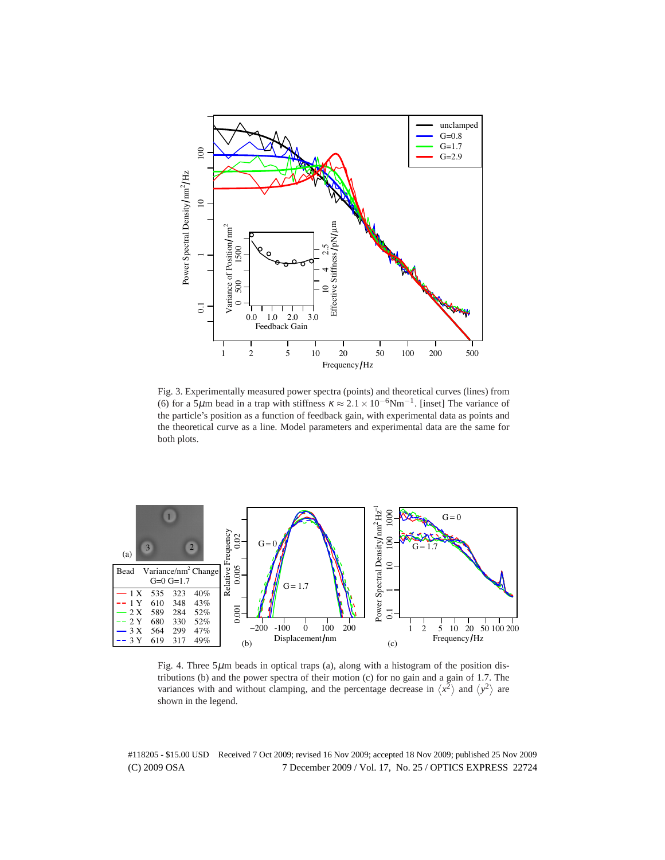

Fig. 3. Experimentally measured power spectra (points) and theoretical curves (lines) from (6) for a 5µm bead in a trap with stiffness  $\kappa \approx 2.1 \times 10^{-6}$ Nm<sup>-1</sup>. [inset] The variance of the particle's position as a function of feedback gain, with experimental data as points and the theoretical curve as a line. Model parameters and experimental data are the same for both plots.



Fig. 4. Three  $5\mu$ m beads in optical traps (a), along with a histogram of the position distributions (b) and the power spectra of their motion (c) for no gain and a gain of 1.7. The variances with and without clamping, and the percentage decrease in  $\langle x^2 \rangle$  and  $\langle y^2 \rangle$  are shown in the legend.